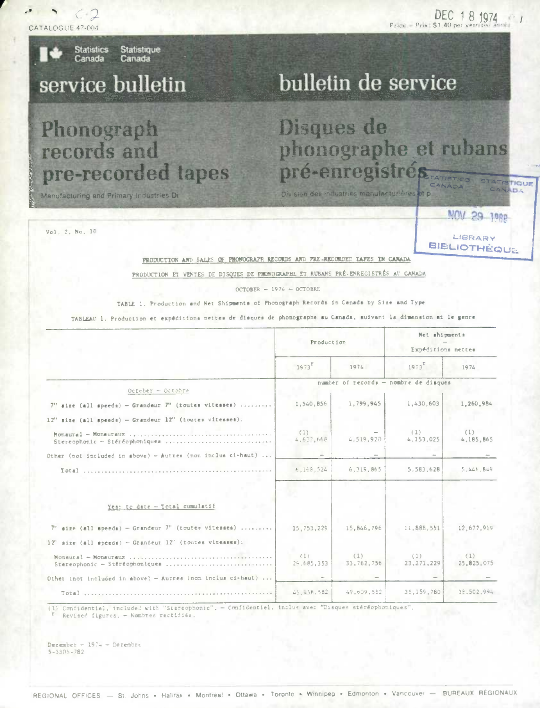$\cdot \cdot \cdot$ CATALOGUE 47-004

> **Statistics Statistique** Canada Canada

# service bulletin

## Phonograph records and pre-recorded tapes

Manufacturing and Primary Industries Di

# bulletin de service

Disques de phonographe et rubans pré-enregistré **STATISTIQUE** 

Division des industries manufacturières et p.

**NOV 29 1988** 

CANADA

DEC 18 1974

 $P_{LIC} = P_{IIX}$  \$1.40 per vear.

Vol. 2, No. 10

LIBRARY

**BIBLIOTHÈQUE** 

PRODUCTION AND SALES OF PHONOGRAPH RECORDS AND PRE-RECORDED TAPES IN CANADA

PRODUCTION ET VENTES DE DISQUES DE PHONOGRAPHE ET RUBANS PRÉ-ENREGISTRÉS AU CANADA

OCTOBER - 1974 - OCTOBRE

TABLE 1. Production and Net Shipments of Phonograph Records in Canada by Size and Type

TABLEAU 1. Production et expéditions nettes de disques de phonographe au Canada, suivant la dimension et le genre

| Production          |                   | Net shipments<br>Expéditions nettes |                                       |
|---------------------|-------------------|-------------------------------------|---------------------------------------|
| $1973^{\mathrm{r}}$ | 1974              | $1973$ <sup>T</sup>                 | 1974                                  |
|                     |                   |                                     |                                       |
| 1,540,856           | 1,799,945         | 1,430,603                           | 1,260,984                             |
|                     |                   |                                     |                                       |
| (1)<br>4,627,668    | 4,519,920         | (1)<br>4,153,025                    | (1)<br>4,185,865                      |
|                     |                   |                                     |                                       |
| 6.168.524           | 6.319.865         | 5.583.628                           | 5.446.849                             |
|                     |                   |                                     |                                       |
|                     |                   |                                     |                                       |
| 15.753.229          | 15,846,796        | 11.888.551                          | 12,677,919                            |
|                     |                   |                                     |                                       |
| (1)<br>25.685,353   | (1)<br>33,762,756 | (1)<br>23, 271, 229                 | (1)<br>25, 825, 075                   |
|                     |                   |                                     |                                       |
| 45.438.582          | 49.609.552        | 35,159,780                          | 38.502.994                            |
|                     |                   |                                     | number of records - nombre de disques |

(1) Confidential, included with "Stereophonic". - Confidential, inclus avec "Disques stéréophoniques" Revised figures. - Nombres rectifiés.

December - 1974 - Décembre  $5 - 3305 - 782$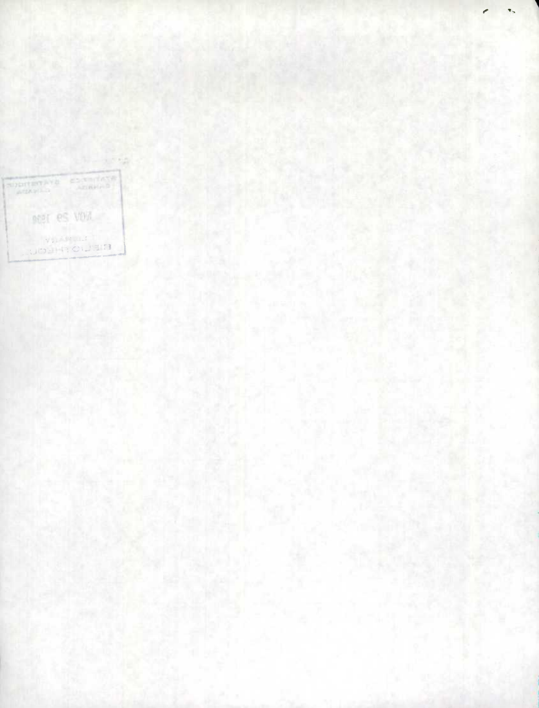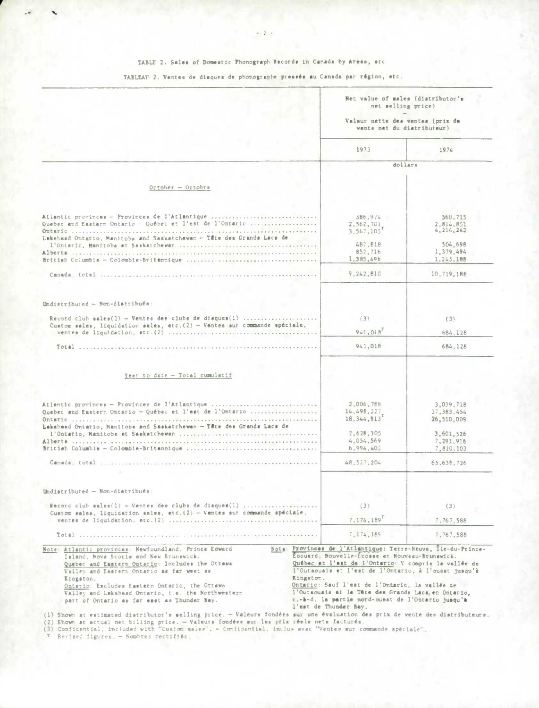#### TABLE 2. Sales of Domestic Phonograph Records in Canada by Areas, etc.

TABLEAU 2. Ventes de disques de phonographe pressée au Canada par région, etc.

|                                                                                                                                                                                                                                                                                                                                                                                                                                                                                                                                                                                                                                                                                                                                                               |           | Net value of males (distributor's<br>net selling price)<br>Valeur nette des ventes (prix de<br>vente net du distributeur)                                                                                                                                                                                                                                                                                             |                                                |  |
|---------------------------------------------------------------------------------------------------------------------------------------------------------------------------------------------------------------------------------------------------------------------------------------------------------------------------------------------------------------------------------------------------------------------------------------------------------------------------------------------------------------------------------------------------------------------------------------------------------------------------------------------------------------------------------------------------------------------------------------------------------------|-----------|-----------------------------------------------------------------------------------------------------------------------------------------------------------------------------------------------------------------------------------------------------------------------------------------------------------------------------------------------------------------------------------------------------------------------|------------------------------------------------|--|
|                                                                                                                                                                                                                                                                                                                                                                                                                                                                                                                                                                                                                                                                                                                                                               |           | 1973                                                                                                                                                                                                                                                                                                                                                                                                                  | 1974                                           |  |
|                                                                                                                                                                                                                                                                                                                                                                                                                                                                                                                                                                                                                                                                                                                                                               |           | dollars                                                                                                                                                                                                                                                                                                                                                                                                               |                                                |  |
|                                                                                                                                                                                                                                                                                                                                                                                                                                                                                                                                                                                                                                                                                                                                                               |           |                                                                                                                                                                                                                                                                                                                                                                                                                       |                                                |  |
|                                                                                                                                                                                                                                                                                                                                                                                                                                                                                                                                                                                                                                                                                                                                                               |           |                                                                                                                                                                                                                                                                                                                                                                                                                       |                                                |  |
| $October - October$                                                                                                                                                                                                                                                                                                                                                                                                                                                                                                                                                                                                                                                                                                                                           |           |                                                                                                                                                                                                                                                                                                                                                                                                                       |                                                |  |
|                                                                                                                                                                                                                                                                                                                                                                                                                                                                                                                                                                                                                                                                                                                                                               |           |                                                                                                                                                                                                                                                                                                                                                                                                                       |                                                |  |
| Atlantic provinces - Provinces de l'Atlantique<br>Ouebec and Eastern Ontario - Ouébec et l'est de l'Ontario<br>Lakehead Ontario, Manizoba and Saskatchewan - Tête des Grands Lacs de                                                                                                                                                                                                                                                                                                                                                                                                                                                                                                                                                                          |           | 386.974<br>2,562,701<br>3.567,105<br>487,818                                                                                                                                                                                                                                                                                                                                                                          | 560,715<br>2,814,851<br>4, 214, 242<br>504,698 |  |
|                                                                                                                                                                                                                                                                                                                                                                                                                                                                                                                                                                                                                                                                                                                                                               |           | 852,716                                                                                                                                                                                                                                                                                                                                                                                                               | 1.379.494                                      |  |
|                                                                                                                                                                                                                                                                                                                                                                                                                                                                                                                                                                                                                                                                                                                                                               |           | 1,385,496                                                                                                                                                                                                                                                                                                                                                                                                             | 1,245,188                                      |  |
|                                                                                                                                                                                                                                                                                                                                                                                                                                                                                                                                                                                                                                                                                                                                                               |           | 9,242,810                                                                                                                                                                                                                                                                                                                                                                                                             | 10.719.188                                     |  |
|                                                                                                                                                                                                                                                                                                                                                                                                                                                                                                                                                                                                                                                                                                                                                               |           |                                                                                                                                                                                                                                                                                                                                                                                                                       |                                                |  |
|                                                                                                                                                                                                                                                                                                                                                                                                                                                                                                                                                                                                                                                                                                                                                               |           |                                                                                                                                                                                                                                                                                                                                                                                                                       |                                                |  |
| $Undfertfuled - Non-difettibués:$                                                                                                                                                                                                                                                                                                                                                                                                                                                                                                                                                                                                                                                                                                                             |           |                                                                                                                                                                                                                                                                                                                                                                                                                       |                                                |  |
| Record club sales(1) - Ventes des clubs de disques(1)                                                                                                                                                                                                                                                                                                                                                                                                                                                                                                                                                                                                                                                                                                         |           | (3)                                                                                                                                                                                                                                                                                                                                                                                                                   | (3)                                            |  |
| Custom sales, liquidation sales, etc. (2) - Ventes sur commande spéciale,                                                                                                                                                                                                                                                                                                                                                                                                                                                                                                                                                                                                                                                                                     |           | 941,018                                                                                                                                                                                                                                                                                                                                                                                                               |                                                |  |
|                                                                                                                                                                                                                                                                                                                                                                                                                                                                                                                                                                                                                                                                                                                                                               |           |                                                                                                                                                                                                                                                                                                                                                                                                                       | 684.128                                        |  |
|                                                                                                                                                                                                                                                                                                                                                                                                                                                                                                                                                                                                                                                                                                                                                               |           | 941,018                                                                                                                                                                                                                                                                                                                                                                                                               | 684,128                                        |  |
| Year to date - Total cumulatif                                                                                                                                                                                                                                                                                                                                                                                                                                                                                                                                                                                                                                                                                                                                |           |                                                                                                                                                                                                                                                                                                                                                                                                                       |                                                |  |
| Atlantic provinces - Provinces de l'Atlantique<br>Quebec and Eastern Ontario - Québec et l'est de l'Ontario<br>Lakeheed Ontario, Manitoba and Saskatchewan -- Tête des Grands Lacs de                                                                                                                                                                                                                                                                                                                                                                                                                                                                                                                                                                         |           | 2.006.788<br>14,498,227<br>18, 344, 913<br>2.628.305                                                                                                                                                                                                                                                                                                                                                                  | 3,039,718<br>17,383,454<br>26,510,009          |  |
|                                                                                                                                                                                                                                                                                                                                                                                                                                                                                                                                                                                                                                                                                                                                                               |           | 4.054.569                                                                                                                                                                                                                                                                                                                                                                                                             | 3,601,526<br>7,293,916                         |  |
|                                                                                                                                                                                                                                                                                                                                                                                                                                                                                                                                                                                                                                                                                                                                                               |           | 6,994,402                                                                                                                                                                                                                                                                                                                                                                                                             | 7,810,103                                      |  |
|                                                                                                                                                                                                                                                                                                                                                                                                                                                                                                                                                                                                                                                                                                                                                               |           | 48.527.204                                                                                                                                                                                                                                                                                                                                                                                                            | 65,638,726                                     |  |
|                                                                                                                                                                                                                                                                                                                                                                                                                                                                                                                                                                                                                                                                                                                                                               |           |                                                                                                                                                                                                                                                                                                                                                                                                                       |                                                |  |
| $Indistributed - Non-distribufe:$                                                                                                                                                                                                                                                                                                                                                                                                                                                                                                                                                                                                                                                                                                                             |           |                                                                                                                                                                                                                                                                                                                                                                                                                       |                                                |  |
| Record club sales $(1)$ - Ventes des clubs de disques $(1)$ ,                                                                                                                                                                                                                                                                                                                                                                                                                                                                                                                                                                                                                                                                                                 |           | (3)                                                                                                                                                                                                                                                                                                                                                                                                                   | (3)                                            |  |
| Custom sales, liquidation sales, etc.(2) - Ventes sur commande spéciale,                                                                                                                                                                                                                                                                                                                                                                                                                                                                                                                                                                                                                                                                                      |           |                                                                                                                                                                                                                                                                                                                                                                                                                       |                                                |  |
|                                                                                                                                                                                                                                                                                                                                                                                                                                                                                                                                                                                                                                                                                                                                                               |           | 7,174,189                                                                                                                                                                                                                                                                                                                                                                                                             | 7,767,588                                      |  |
| TOTA)                                                                                                                                                                                                                                                                                                                                                                                                                                                                                                                                                                                                                                                                                                                                                         |           | 7,174,189                                                                                                                                                                                                                                                                                                                                                                                                             | 7,767,588                                      |  |
| Note: Atlantic provinces: Newfoundland, Prince Edward<br>Island, Nove Scotia and New Brunswick.<br>Quebec and Eastern Optario: Includes the Ottawa<br>Valley and Eastern Ontario as far west as<br>Kingston.<br>Ontario: Excludes Eastern Ontario, the Ottawa<br>Valley and Lakehead Ontario, i.e. the Northwestern<br>part of Ontario as far east as Thunder Bay.<br>(1) Shown at estimated distributor's selling price. - Valeurs fondées sur une évaluation des prix de vente des distributeurs.<br>(2) Showm at actual net billing price. - Valeura fondées sur les prix réels nets facturés.<br>(3) Confidential, included with "Custom sales". - Confidential, inclus avec "Ventes sur commande spéciale".<br>$T$ Revised figures. - Nombres rectifiés. | Kingston. | Nota: Provinces de l'Atlantique: Terre-Neuve, Île-du-Prince-<br>Edouard, Nouvelle-Écosse et Nouveau-Brunswick.<br>Québec et l'est de l'Ontario: Y compris la vallée de<br>l'Outaouais et l'est de l'Ontario, à l'ouest jusqu'à<br>Ontario: Sauf l'est de l'Ontario, la vallée de<br>l'Outaouais et la Tête des Grands Lacs, en Ontario,<br>c.-à-d. la partie nord-ouest de l'Ontario jusqu'à<br>l'est de Thunder Bay. |                                                |  |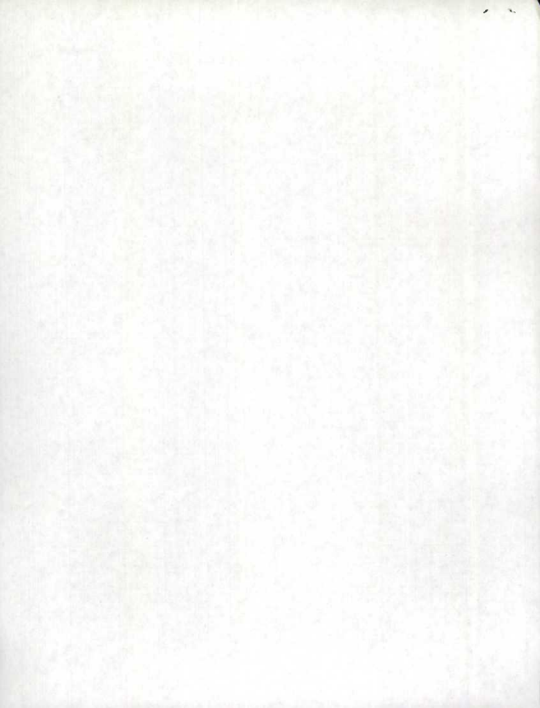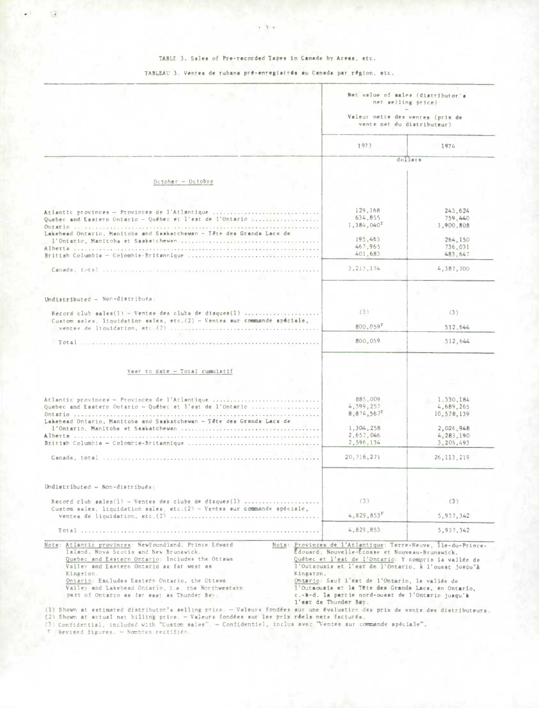### TABLE 3. Seles of Pre-recorded Tapes in Canada by Areas, etc.

TABLEAU 3. Ventes de rubana pré-enregistrés au Canada par région, etc.

|                                                                                                             | Net value of sales (distributor's<br>net selling price)<br>Valeur nette des ventes (prix de<br>vente net du distributeur) |                                                              |  |
|-------------------------------------------------------------------------------------------------------------|---------------------------------------------------------------------------------------------------------------------------|--------------------------------------------------------------|--|
|                                                                                                             |                                                                                                                           |                                                              |  |
|                                                                                                             | 1973                                                                                                                      | 1974                                                         |  |
|                                                                                                             |                                                                                                                           | dollars                                                      |  |
|                                                                                                             |                                                                                                                           |                                                              |  |
| $0$ ctober - Octobre                                                                                        |                                                                                                                           |                                                              |  |
|                                                                                                             |                                                                                                                           |                                                              |  |
|                                                                                                             | 129,168                                                                                                                   | 243,624                                                      |  |
| Atlantic provinces - Provinces de l'Atlantique<br>Quebec and Eastern Ontario - Québec et l'est de l'Ontario | 634.855                                                                                                                   | 759.440                                                      |  |
|                                                                                                             | 1,384,040 <sup>r</sup>                                                                                                    | 1,900,808                                                    |  |
| Lakehead Ontario, Manitoba and Saskatchewan - Tête des Grands Lacs de                                       |                                                                                                                           |                                                              |  |
|                                                                                                             | 195,463<br>467,965                                                                                                        | 264,150<br>736,031                                           |  |
|                                                                                                             | 401,683                                                                                                                   | 483,647                                                      |  |
|                                                                                                             |                                                                                                                           |                                                              |  |
|                                                                                                             | 3,213,174                                                                                                                 | 4,387,700                                                    |  |
|                                                                                                             |                                                                                                                           |                                                              |  |
|                                                                                                             |                                                                                                                           |                                                              |  |
| Undistributed - Non-distribués:                                                                             |                                                                                                                           |                                                              |  |
| Record club sales(1) - Ventes des clubs de disques(1)                                                       | (3)                                                                                                                       | (3)                                                          |  |
| Custom sales, liquidation sales, etc. $(2)$ - Ventes sur commande speciale,                                 |                                                                                                                           |                                                              |  |
|                                                                                                             | 800, 059 <sup>T</sup>                                                                                                     | 512.644                                                      |  |
|                                                                                                             | 800,059                                                                                                                   | 512.644                                                      |  |
|                                                                                                             |                                                                                                                           |                                                              |  |
|                                                                                                             |                                                                                                                           |                                                              |  |
| Year to date - Total cumulatif                                                                              |                                                                                                                           |                                                              |  |
|                                                                                                             |                                                                                                                           |                                                              |  |
|                                                                                                             |                                                                                                                           |                                                              |  |
| Atlantic provinces - Provinces de l'Atlantique                                                              | 885,009                                                                                                                   | 1,330,184                                                    |  |
| Quebec and Eastern Ontario - Québec et l'est de l'Ontario                                                   | 4,399,257<br>$8,874,567^T$                                                                                                | 4,689,265<br>10,578,139                                      |  |
| Lakehead Ontario, Manitoba and Saskatchewan - Tête des Grands Lacs de                                       |                                                                                                                           |                                                              |  |
|                                                                                                             | 1,304,258                                                                                                                 | 2.026.948                                                    |  |
|                                                                                                             | 2,657,046                                                                                                                 | 4,283,190                                                    |  |
|                                                                                                             | 2,596,134                                                                                                                 | 3,205,493                                                    |  |
|                                                                                                             | 20,716,271                                                                                                                | 26, 113, 219                                                 |  |
|                                                                                                             |                                                                                                                           |                                                              |  |
|                                                                                                             |                                                                                                                           |                                                              |  |
| $Undistributed - Non-distribués:$                                                                           |                                                                                                                           |                                                              |  |
| Record club sales(1) - Ventes des clubs de disques(1)                                                       | (3)                                                                                                                       | (3)                                                          |  |
| Custom sales, liquidation sales, etc. $(2)$ - Ventes sur commande spéciale,                                 |                                                                                                                           |                                                              |  |
|                                                                                                             | $4,829,853^T$                                                                                                             | 5,937,342                                                    |  |
| $Total$                                                                                                     | 4,829,853                                                                                                                 | 5,937,342                                                    |  |
|                                                                                                             |                                                                                                                           |                                                              |  |
| Note: Atlantic provinces: Newfoundland, Prince Edward<br>Island, Nova Scotis and New Brunswick.             | Édouard, Nouvelle-Écosse et Nouveau-Brunswick.                                                                            | Nota: Provinces de l'Atlantique: Terre-Neuve, Ile-du-Prince- |  |
| Quebec and Eastern Ontario: Includes the Ottawa                                                             | Québec et l'est de l'Ontario: Y compris la vallée de                                                                      |                                                              |  |
| Valley and Eastern Ontario as far west as                                                                   | l'Outaouais et l'est de l'Ontario, à l'ouest jusqu'à                                                                      |                                                              |  |
| Kingston.<br>Kingston.                                                                                      |                                                                                                                           |                                                              |  |
| Ontario: Excludes Eastern Ontario, the Ottawa<br>Valley and Lakehead Ontario, i.e. the Northwestern         | Ontario: Sauf l'est de l'Ontario, la vallée de<br>l'Outmouais et la Tête des Grands Lacs, en Ontario.                     |                                                              |  |
| part of Ontario as far east as Thunder Bay.                                                                 | c.-h-d. la partie nord-ouest de l'Ontario jusqu'à                                                                         |                                                              |  |
|                                                                                                             | l'est de Thunder Bay.                                                                                                     |                                                              |  |

1'est de Thunder Bay.<br>
(1) Shown at estimated distributor's selling price. - Valeurs fondées sur une évaluation des prix de vente des distributeurs.<br>
(2) Shown at actual net billing price. - Valeurs fondées sur les prix ré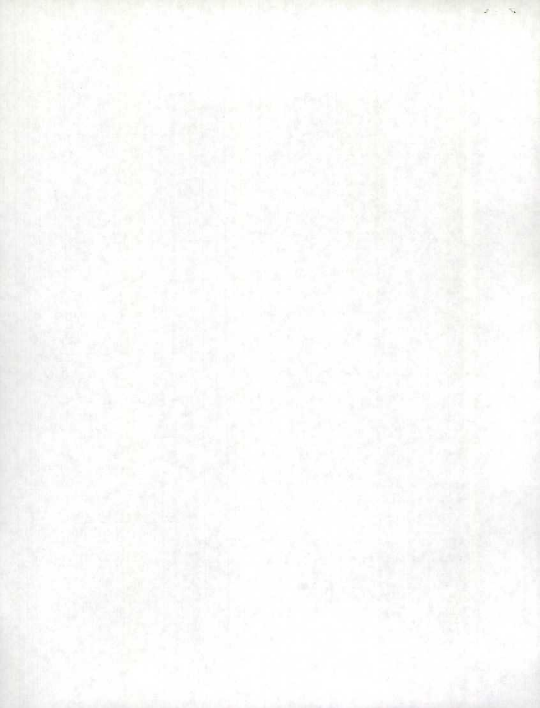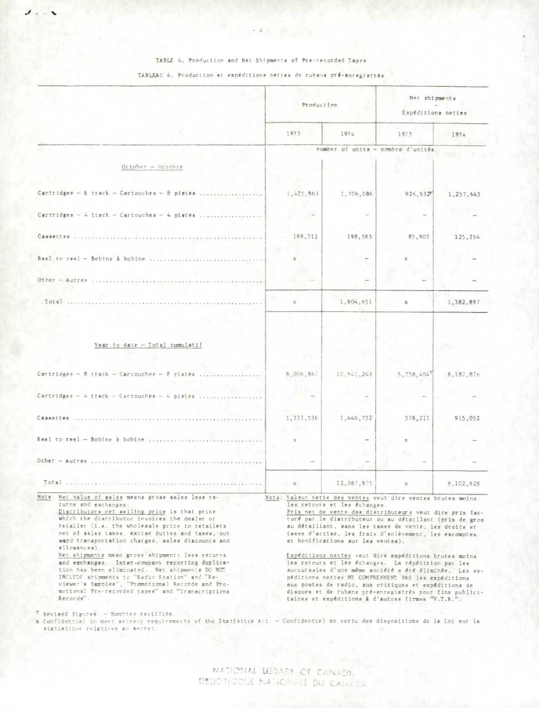#### TABLE 4. Production and Net Shipments of Pre-recorded Tapes

 $\label{eq:2.1} \frac{1}{\sqrt{2}}\left(\frac{1}{\sqrt{2}}\right)^2\left(\frac{1}{\sqrt{2}}\right)^2\left(\frac{1}{\sqrt{2}}\right)^2\left(\frac{1}{\sqrt{2}}\right)^2\left(\frac{1}{\sqrt{2}}\right)^2.$ 

#### TABLEAU 4. Production et expéditions nettes de rubans pré-enregistrés

|                                                                                                                                                                                                                                                                                                                                                                                                                                                                                                                                                                                                                                                                                            | Production  |                                                                                                                                                                                                                                                                                                                                                                                                                                                                                                                                                                                                                                                                                                                                                                                  | Net shipments<br>Expéditions nettes |           |  |
|--------------------------------------------------------------------------------------------------------------------------------------------------------------------------------------------------------------------------------------------------------------------------------------------------------------------------------------------------------------------------------------------------------------------------------------------------------------------------------------------------------------------------------------------------------------------------------------------------------------------------------------------------------------------------------------------|-------------|----------------------------------------------------------------------------------------------------------------------------------------------------------------------------------------------------------------------------------------------------------------------------------------------------------------------------------------------------------------------------------------------------------------------------------------------------------------------------------------------------------------------------------------------------------------------------------------------------------------------------------------------------------------------------------------------------------------------------------------------------------------------------------|-------------------------------------|-----------|--|
|                                                                                                                                                                                                                                                                                                                                                                                                                                                                                                                                                                                                                                                                                            | 1973        | 1974                                                                                                                                                                                                                                                                                                                                                                                                                                                                                                                                                                                                                                                                                                                                                                             | 1973                                | 1974      |  |
|                                                                                                                                                                                                                                                                                                                                                                                                                                                                                                                                                                                                                                                                                            |             | number of units - nombre d'unités                                                                                                                                                                                                                                                                                                                                                                                                                                                                                                                                                                                                                                                                                                                                                |                                     |           |  |
| October - Octobre                                                                                                                                                                                                                                                                                                                                                                                                                                                                                                                                                                                                                                                                          |             |                                                                                                                                                                                                                                                                                                                                                                                                                                                                                                                                                                                                                                                                                                                                                                                  |                                     |           |  |
|                                                                                                                                                                                                                                                                                                                                                                                                                                                                                                                                                                                                                                                                                            |             |                                                                                                                                                                                                                                                                                                                                                                                                                                                                                                                                                                                                                                                                                                                                                                                  |                                     |           |  |
| Cartridges - 8 track - Cartouches - 8 pistes                                                                                                                                                                                                                                                                                                                                                                                                                                                                                                                                                                                                                                               | 1,425,863   | 1,706,086                                                                                                                                                                                                                                                                                                                                                                                                                                                                                                                                                                                                                                                                                                                                                                        | 926, 932                            | 1,257,643 |  |
| Cartridges - 4 track - Cartouches - 4 pistes                                                                                                                                                                                                                                                                                                                                                                                                                                                                                                                                                                                                                                               |             |                                                                                                                                                                                                                                                                                                                                                                                                                                                                                                                                                                                                                                                                                                                                                                                  |                                     |           |  |
|                                                                                                                                                                                                                                                                                                                                                                                                                                                                                                                                                                                                                                                                                            | 169,311     | 198,565                                                                                                                                                                                                                                                                                                                                                                                                                                                                                                                                                                                                                                                                                                                                                                          | 85,905                              | 125,254   |  |
|                                                                                                                                                                                                                                                                                                                                                                                                                                                                                                                                                                                                                                                                                            | $X = 1$     |                                                                                                                                                                                                                                                                                                                                                                                                                                                                                                                                                                                                                                                                                                                                                                                  | $\mathbb{X}$ .                      |           |  |
| Other $-$ Autres                                                                                                                                                                                                                                                                                                                                                                                                                                                                                                                                                                                                                                                                           |             |                                                                                                                                                                                                                                                                                                                                                                                                                                                                                                                                                                                                                                                                                                                                                                                  |                                     |           |  |
|                                                                                                                                                                                                                                                                                                                                                                                                                                                                                                                                                                                                                                                                                            | $\times$    | 1,904,651                                                                                                                                                                                                                                                                                                                                                                                                                                                                                                                                                                                                                                                                                                                                                                        | $-3$                                | 1,382,897 |  |
|                                                                                                                                                                                                                                                                                                                                                                                                                                                                                                                                                                                                                                                                                            |             |                                                                                                                                                                                                                                                                                                                                                                                                                                                                                                                                                                                                                                                                                                                                                                                  |                                     |           |  |
| Year to date - Total cumulatif                                                                                                                                                                                                                                                                                                                                                                                                                                                                                                                                                                                                                                                             |             |                                                                                                                                                                                                                                                                                                                                                                                                                                                                                                                                                                                                                                                                                                                                                                                  |                                     |           |  |
| Cartridges - 8 track - Cartouches - 8 pistes                                                                                                                                                                                                                                                                                                                                                                                                                                                                                                                                                                                                                                               | 8,006,967   | 10,541,243                                                                                                                                                                                                                                                                                                                                                                                                                                                                                                                                                                                                                                                                                                                                                                       | $5, 738, 404^t$                     | 8,187,876 |  |
| Cartridges - 4 track - Cartouches - 4 pistes                                                                                                                                                                                                                                                                                                                                                                                                                                                                                                                                                                                                                                               |             |                                                                                                                                                                                                                                                                                                                                                                                                                                                                                                                                                                                                                                                                                                                                                                                  |                                     |           |  |
| Cassettes                                                                                                                                                                                                                                                                                                                                                                                                                                                                                                                                                                                                                                                                                  | 1,333,536   | 1,446,732                                                                                                                                                                                                                                                                                                                                                                                                                                                                                                                                                                                                                                                                                                                                                                        | 378,211                             | 915,052   |  |
| Reel to reel - Bobine à bobine                                                                                                                                                                                                                                                                                                                                                                                                                                                                                                                                                                                                                                                             | $\mathbb X$ |                                                                                                                                                                                                                                                                                                                                                                                                                                                                                                                                                                                                                                                                                                                                                                                  | Ж.                                  |           |  |
|                                                                                                                                                                                                                                                                                                                                                                                                                                                                                                                                                                                                                                                                                            |             |                                                                                                                                                                                                                                                                                                                                                                                                                                                                                                                                                                                                                                                                                                                                                                                  |                                     |           |  |
|                                                                                                                                                                                                                                                                                                                                                                                                                                                                                                                                                                                                                                                                                            | $\propto$   | 12,087,975                                                                                                                                                                                                                                                                                                                                                                                                                                                                                                                                                                                                                                                                                                                                                                       | $-20$                               | 9,102,928 |  |
| Net value of sales means gross sales less re-<br>Note:<br>turns and exchanges.<br>Distributors net selling price is that price<br>which the distributor invoices the dealer or<br>retailer (i.e. the wholesale price to retailers)<br>net of sales taxes, excise duties and taxes, out-<br>ward transportation charges, sales discounts and<br>allowances),<br>Net shipments mean gross shipments less returns.<br>and exchanges. Inter-company reporting duplica-<br>tion has been eliminated. Net shipments DO NOT<br>INCLUDE shipments to "Radio Station" and "Re-<br>viewer's Samples", "Promotional Records and Pro-<br>motional Pre-recorded tapes" and "Transcriptions<br>Records". |             | Nota: Valeur nette des ventes veut dire ventes brutes moins<br>les retours et les échanges.<br>Prix net de vente des distributeurs veut dire prix fac-<br>turé par le distributeur ou au détaillant (prix de gros<br>au détaillant, sans les taxes de vente, les droits et<br>taxes d'accise, les frais d'enlèvement, les escomptes<br>et bonifications sur les ventes).<br>Expéditions nettes veut dire expéditions brutes moins<br>les retours et les échanges. La répétition par les<br>succursales d'une même mociété a été éliminée. Les ex-<br>péditions nettes NE COMPRENNENT PAS les expéditions<br>aux postes de radio, aux critiques et expéditions de<br>disques et de rubans pré-enregistrés pour fins publici-<br>taires et expéditions à d'autres firmes "V.T.R.". |                                     |           |  |

<sup>r</sup> Revised figures. - Nombres rectifiés.<br>x Confidential to meet secrecy requirements of the Statistics Act. - Confidentiel en vertu des dispositions de la Loi sur la<br>statistique relatives au secret.

NATIONAL DERARY OF CANADY SIBLICTHÉODE NATIONALE DU CANVOR